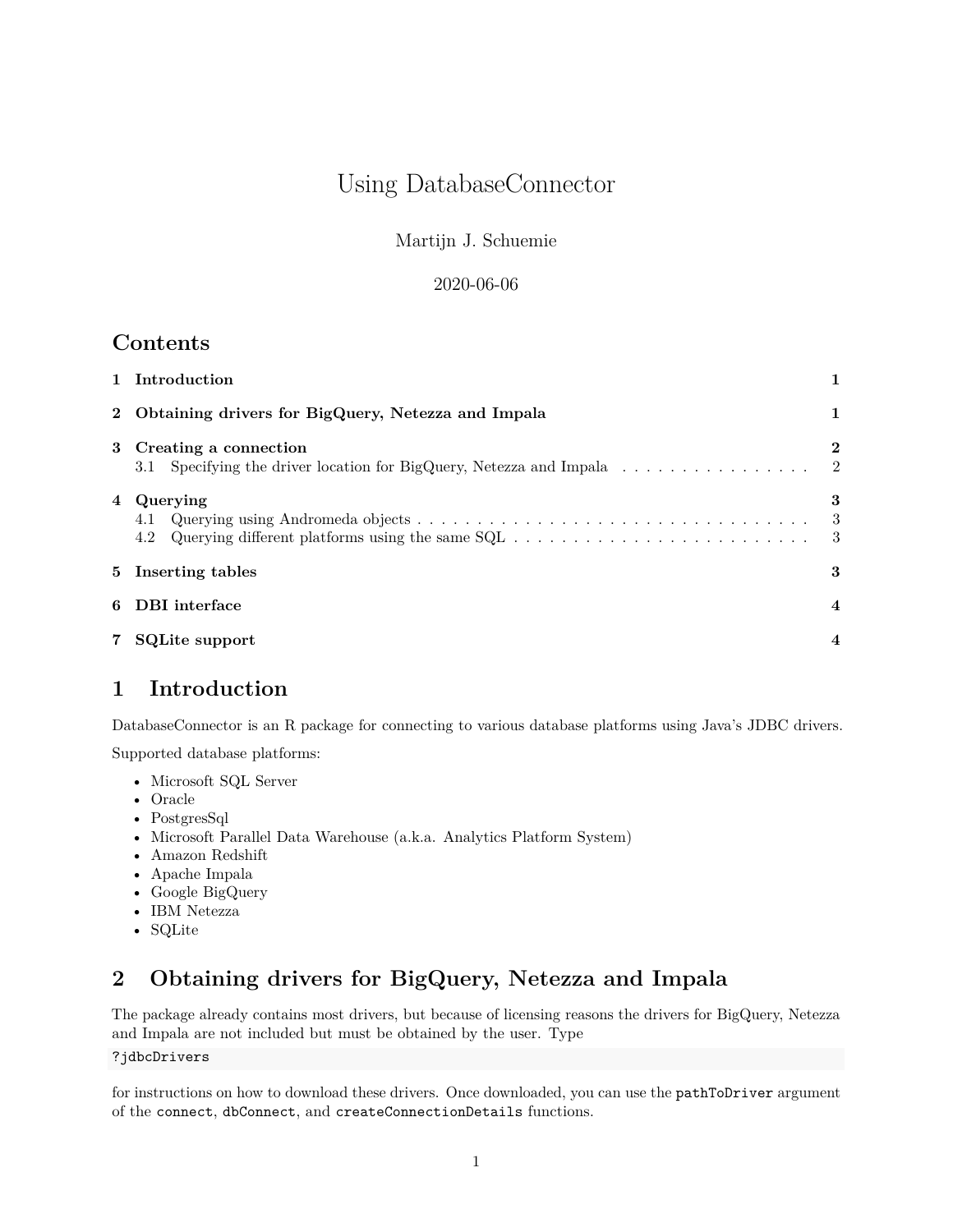# Using DatabaseConnector

Martijn J. Schuemie

#### 2020-06-06

# **Contents**

|   | 1 Introduction                                                                                                                        |                                |  |  |  |
|---|---------------------------------------------------------------------------------------------------------------------------------------|--------------------------------|--|--|--|
|   | 2 Obtaining drivers for BigQuery, Netezza and Impala                                                                                  |                                |  |  |  |
|   | 3 Creating a connection<br>3.1 Specifying the driver location for BigQuery, Netezza and Impala $\dots \dots \dots \dots \dots$        | $\mathbf{2}$<br>$\overline{2}$ |  |  |  |
|   | 4 Querying<br>4.1<br>Querying different platforms using the same $SQL \ldots \ldots \ldots \ldots \ldots \ldots \ldots \ldots$<br>4.2 | 3<br>-3                        |  |  |  |
|   | 5 Inserting tables                                                                                                                    |                                |  |  |  |
| 6 | DBI interface                                                                                                                         |                                |  |  |  |
|   | <b>SQLite support</b>                                                                                                                 |                                |  |  |  |

# <span id="page-0-0"></span>**1 Introduction**

DatabaseConnector is an R package for connecting to various database platforms using Java's JDBC drivers.

Supported database platforms:

- Microsoft SQL Server
- Oracle
- PostgresSql
- Microsoft Parallel Data Warehouse (a.k.a. Analytics Platform System)
- Amazon Redshift
- Apache Impala
- Google BigQuery
- IBM Netezza
- SQLite

# <span id="page-0-1"></span>**2 Obtaining drivers for BigQuery, Netezza and Impala**

The package already contains most drivers, but because of licensing reasons the drivers for BigQuery, Netezza and Impala are not included but must be obtained by the user. Type

#### ?jdbcDrivers

for instructions on how to download these drivers. Once downloaded, you can use the pathToDriver argument of the connect, dbConnect, and createConnectionDetails functions.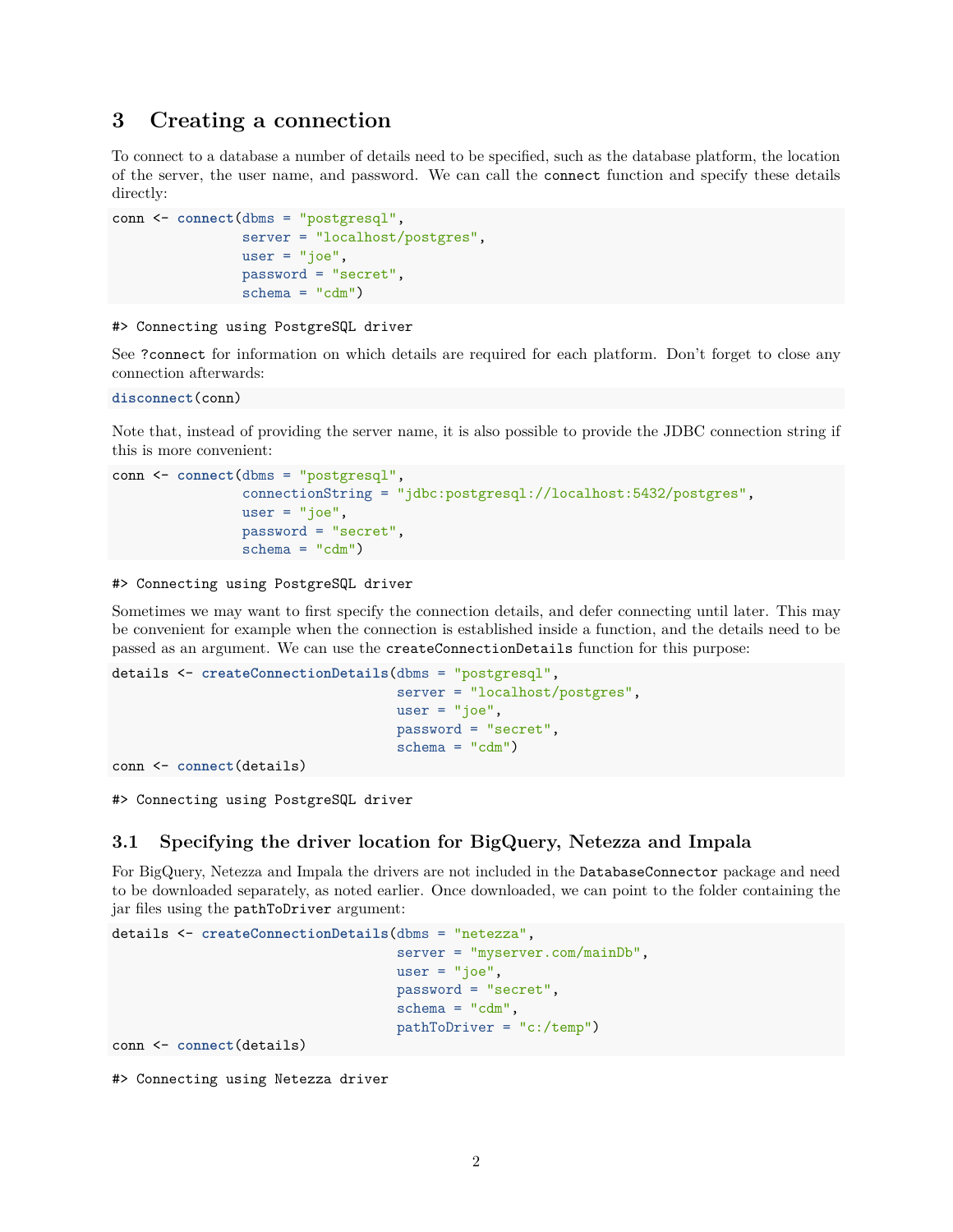#### <span id="page-1-0"></span>**3 Creating a connection**

To connect to a database a number of details need to be specified, such as the database platform, the location of the server, the user name, and password. We can call the connect function and specify these details directly:

```
conn <- connect(dbms = "postgresql",
                server = "localhost/postgres",
                user = "joe",password = "secret",
                schema = "cdm")
```
#### #> Connecting using PostgreSQL driver

See ?connect for information on which details are required for each platform. Don't forget to close any connection afterwards:

```
disconnect(conn)
```
Note that, instead of providing the server name, it is also possible to provide the JDBC connection string if this is more convenient:

```
conn <- connect(dbms = "postgresql",
                connectionString = "jdbc:postgresql://localhost:5432/postgres",
                user = "joe",
                password = "secret",
                schema = "cdm")
```
#> Connecting using PostgreSQL driver

Sometimes we may want to first specify the connection details, and defer connecting until later. This may be convenient for example when the connection is established inside a function, and the details need to be passed as an argument. We can use the createConnectionDetails function for this purpose:

```
details <- createConnectionDetails(dbms = "postgresql",
                                   server = "localhost/postgres",
                                   user = "joe",
                                   password = "secret",
                                   schema = "cdm")
```
conn <- **connect**(details)

#> Connecting using PostgreSQL driver

#### <span id="page-1-1"></span>**3.1 Specifying the driver location for BigQuery, Netezza and Impala**

For BigQuery, Netezza and Impala the drivers are not included in the DatabaseConnector package and need to be downloaded separately, as noted earlier. Once downloaded, we can point to the folder containing the jar files using the pathToDriver argument:

```
details <- createConnectionDetails(dbms = "netezza",
                                   server = "myserver.com/mainDb",
                                   user = "joe",password = "secret",
                                   schema = "cdm",pathToDriver = "c:/temp")
conn <- connect(details)
```
#> Connecting using Netezza driver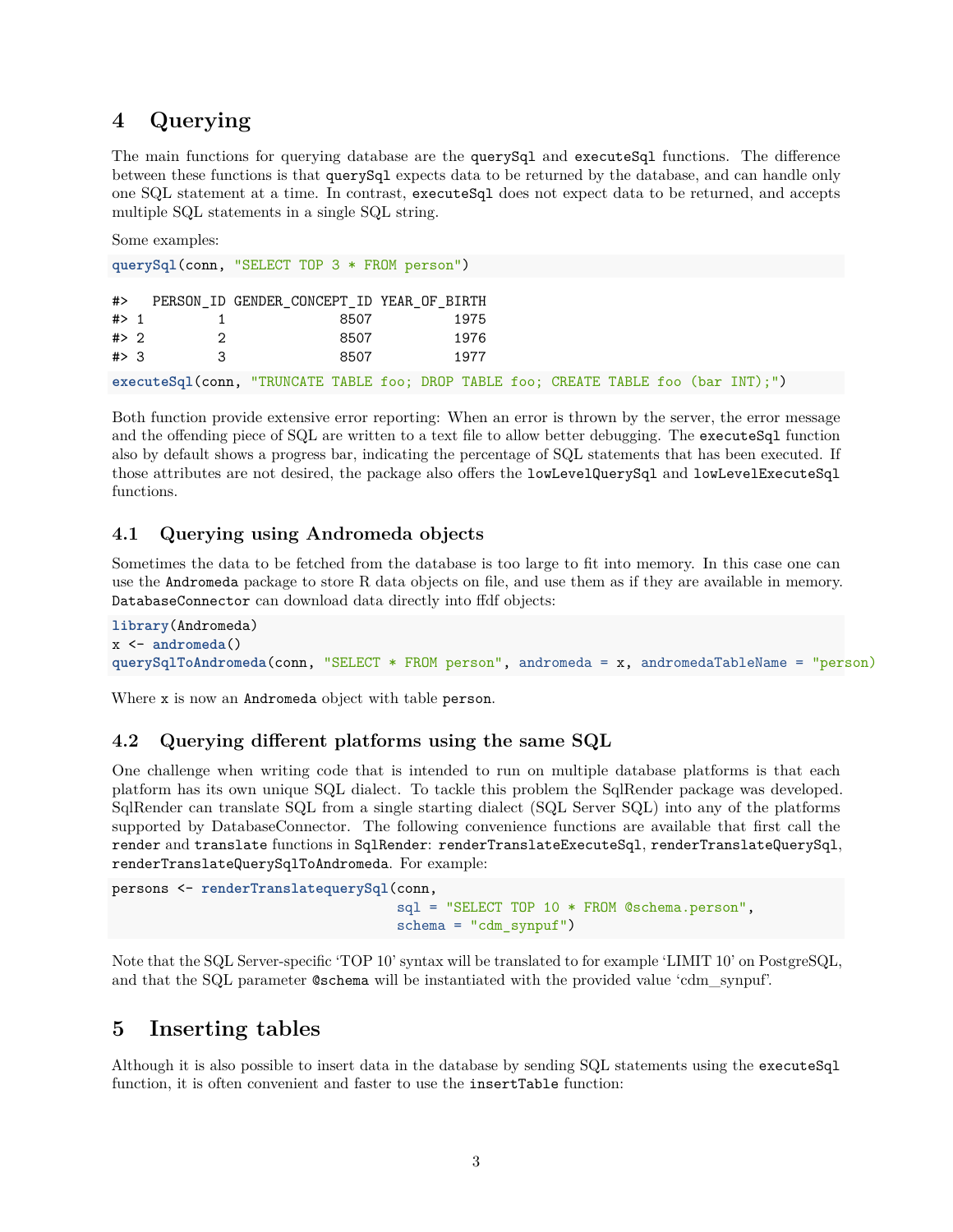### <span id="page-2-0"></span>**4 Querying**

The main functions for querying database are the querySql and executeSql functions. The difference between these functions is that querySql expects data to be returned by the database, and can handle only one SQL statement at a time. In contrast, executeSql does not expect data to be returned, and accepts multiple SQL statements in a single SQL string.

Some examples:

**querySql**(conn, "SELECT TOP 3 \* FROM person") #> PERSON\_ID GENDER\_CONCEPT\_ID YEAR\_OF\_BIRTH #> 1 1 8507 1975 #> 2 2 8507 1976 #> 3 3 8507 1977 **executeSql**(conn, "TRUNCATE TABLE foo; DROP TABLE foo; CREATE TABLE foo (bar INT);")

Both function provide extensive error reporting: When an error is thrown by the server, the error message and the offending piece of SQL are written to a text file to allow better debugging. The executeSq1 function also by default shows a progress bar, indicating the percentage of SQL statements that has been executed. If those attributes are not desired, the package also offers the lowLevelQuerySql and lowLevelExecuteSql functions.

#### <span id="page-2-1"></span>**4.1 Querying using Andromeda objects**

Sometimes the data to be fetched from the database is too large to fit into memory. In this case one can use the Andromeda package to store R data objects on file, and use them as if they are available in memory. DatabaseConnector can download data directly into ffdf objects:

```
library(Andromeda)
x <- andromeda()
querySqlToAndromeda(conn, "SELECT * FROM person", andromeda = x, andromedaTableName = "person)
```
Where x is now an Andromeda object with table person.

#### <span id="page-2-2"></span>**4.2 Querying different platforms using the same SQL**

One challenge when writing code that is intended to run on multiple database platforms is that each platform has its own unique SQL dialect. To tackle this problem the [SqlRender package](https://ohdsi.github.io/SqlRender/) was developed. SqlRender can translate SQL from a single starting dialect (SQL Server SQL) into any of the platforms supported by DatabaseConnector. The following convenience functions are available that first call the render and translate functions in SqlRender: renderTranslateExecuteSql, renderTranslateQuerySql, renderTranslateQuerySqlToAndromeda. For example:

```
persons <- renderTranslatequerySql(conn,
                                    sql = "SELECT TOP 10 * FROM @schema.person",
                                    schema = "cdm_synpuf")
```
Note that the SQL Server-specific 'TOP 10' syntax will be translated to for example 'LIMIT 10' on PostgreSQL, and that the SQL parameter @schema will be instantiated with the provided value 'cdm\_synpuf'.

### <span id="page-2-3"></span>**5 Inserting tables**

Although it is also possible to insert data in the database by sending SQL statements using the executeSql function, it is often convenient and faster to use the insertTable function: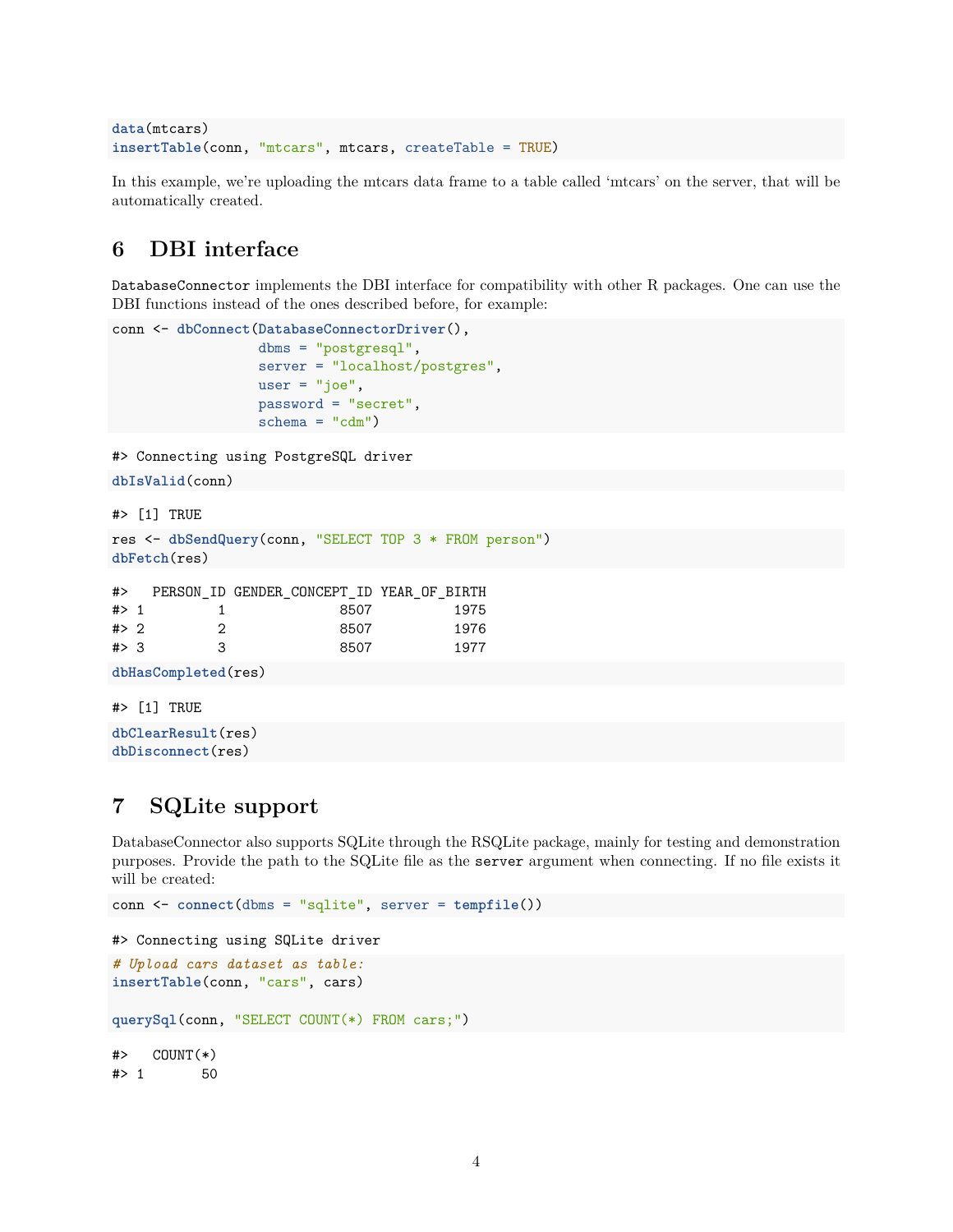```
data(mtcars)
insertTable(conn, "mtcars", mtcars, createTable = TRUE)
```
In this example, we're uploading the mtcars data frame to a table called 'mtcars' on the server, that will be automatically created.

## <span id="page-3-0"></span>**6 DBI interface**

DatabaseConnector implements the DBI interface for compatibility with other R packages. One can use the DBI functions instead of the ones described before, for example:

```
conn <- dbConnect(DatabaseConnectorDriver(),
                  dbms = "postgresql",
                  server = "localhost/postgres",
                  user = "joe",password = "secret",
                  schema = "cdm")
```
#> Connecting using PostgreSQL driver

```
dbIsValid(conn)
```
#> [1] TRUE

```
res <- dbSendQuery(conn, "SELECT TOP 3 * FROM person")
dbFetch(res)
```

| #>    |   | PERSON ID GENDER CONCEPT ID YEAR OF BIRTH |      |
|-------|---|-------------------------------------------|------|
| $#$ 1 |   | 8507                                      | 1975 |
| # > 2 | 2 | 8507                                      | 1976 |
| # > 3 | З | 8507                                      | 1977 |

```
dbHasCompleted(res)
```

```
#> [1] TRUE
```

```
dbClearResult(res)
dbDisconnect(res)
```
# <span id="page-3-1"></span>**7 SQLite support**

DatabaseConnector also supports SQLite through the [RSQLite package,](https://cran.r-project.org/web/packages/RSQLite/index.html) mainly for testing and demonstration purposes. Provide the path to the SQLite file as the server argument when connecting. If no file exists it will be created:

```
conn <- connect(dbms = "sqlite", server = tempfile())
#> Connecting using SQLite driver
# Upload cars dataset as table:
insertTable(conn, "cars", cars)
querySql(conn, "SELECT COUNT(*) FROM cars;")
\# COUNT(*)#> 1 50
```